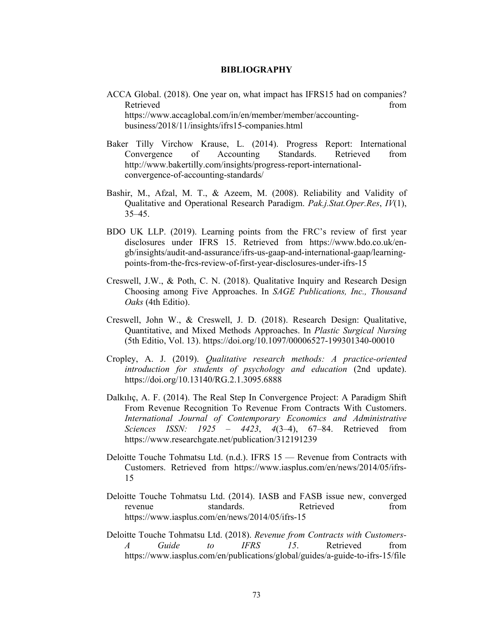## **BIBLIOGRAPHY**

- ACCA Global. (2018). One year on, what impact has IFRS15 had on companies? Retrieved from the state of the state of the state of the state of the state of the state of the state of the state of the state of the state of the state of the state of the state of the state of the state of the state of https://www.accaglobal.com/in/en/member/member/accountingbusiness/2018/11/insights/ifrs15-companies.html
- Baker Tilly Virchow Krause, L. (2014). Progress Report: International Convergence of Accounting Standards. Retrieved from http://www.bakertilly.com/insights/progress-report-internationalconvergence-of-accounting-standards/
- Bashir, M., Afzal, M. T., & Azeem, M. (2008). Reliability and Validity of Qualitative and Operational Research Paradigm. *Pak.j.Stat.Oper.Res*, *IV*(1), 35–45.
- BDO UK LLP. (2019). Learning points from the FRC's review of first year disclosures under IFRS 15. Retrieved from https://www.bdo.co.uk/engb/insights/audit-and-assurance/ifrs-us-gaap-and-international-gaap/learningpoints-from-the-frcs-review-of-first-year-disclosures-under-ifrs-15
- Creswell, J.W., & Poth, C. N. (2018). Qualitative Inquiry and Research Design Choosing among Five Approaches. In *SAGE Publications, Inc., Thousand Oaks* (4th Editio).
- Creswell, John W., & Creswell, J. D. (2018). Research Design: Qualitative, Quantitative, and Mixed Methods Approaches. In *Plastic Surgical Nursing* (5th Editio, Vol. 13). https://doi.org/10.1097/00006527-199301340-00010
- Cropley, A. J. (2019). *Qualitative research methods: A practice-oriented introduction for students of psychology and education* (2nd update). https://doi.org/10.13140/RG.2.1.3095.6888
- Dalkılıç, A. F. (2014). The Real Step In Convergence Project: A Paradigm Shift From Revenue Recognition To Revenue From Contracts With Customers. *International Journal of Contemporary Economics and Administrative Sciences ISSN: 1925 – 4423*, *4*(3–4), 67–84. Retrieved from https://www.researchgate.net/publication/312191239
- Deloitte Touche Tohmatsu Ltd. (n.d.). IFRS 15 Revenue from Contracts with Customers. Retrieved from https://www.iasplus.com/en/news/2014/05/ifrs-15
- Deloitte Touche Tohmatsu Ltd. (2014). IASB and FASB issue new, converged revenue standards. Retrieved from https://www.iasplus.com/en/news/2014/05/ifrs-15
- Deloitte Touche Tohmatsu Ltd. (2018). *Revenue from Contracts with Customers-A Guide to IFRS 15*. Retrieved from https://www.iasplus.com/en/publications/global/guides/a-guide-to-ifrs-15/file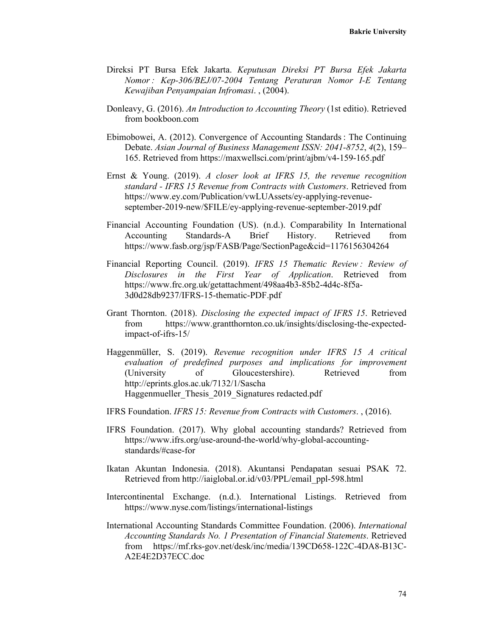- Direksi PT Bursa Efek Jakarta. *Keputusan Direksi PT Bursa Efek Jakarta Nomor : Kep-306/BEJ/07-2004 Tentang Peraturan Nomor I-E Tentang Kewajiban Penyampaian Infromasi*. , (2004).
- Donleavy, G. (2016). *An Introduction to Accounting Theory* (1st editio). Retrieved from bookboon.com
- Ebimobowei, A. (2012). Convergence of Accounting Standards : The Continuing Debate. *Asian Journal of Business Management ISSN: 2041-8752*, *4*(2), 159– 165. Retrieved from https://maxwellsci.com/print/ajbm/v4-159-165.pdf
- Ernst & Young. (2019). *A closer look at IFRS 15, the revenue recognition standard - IFRS 15 Revenue from Contracts with Customers*. Retrieved from https://www.ey.com/Publication/vwLUAssets/ey-applying-revenueseptember-2019-new/\$FILE/ey-applying-revenue-september-2019.pdf
- Financial Accounting Foundation (US). (n.d.). Comparability In International Accounting Standards-A Brief History. Retrieved from https://www.fasb.org/jsp/FASB/Page/SectionPage&cid=1176156304264
- Financial Reporting Council. (2019). *IFRS 15 Thematic Review : Review of Disclosures in the First Year of Application*. Retrieved from https://www.frc.org.uk/getattachment/498aa4b3-85b2-4d4c-8f5a-3d0d28db9237/IFRS-15-thematic-PDF.pdf
- Grant Thornton. (2018). *Disclosing the expected impact of IFRS 15*. Retrieved from https://www.grantthornton.co.uk/insights/disclosing-the-expectedimpact-of-ifrs-15/
- Haggenmüller, S. (2019). *Revenue recognition under IFRS 15 A critical evaluation of predefined purposes and implications for improvement* (University of Gloucestershire). Retrieved from http://eprints.glos.ac.uk/7132/1/Sascha Haggenmueller Thesis 2019 Signatures redacted.pdf
- IFRS Foundation. *IFRS 15: Revenue from Contracts with Customers*. , (2016).
- IFRS Foundation. (2017). Why global accounting standards? Retrieved from https://www.ifrs.org/use-around-the-world/why-global-accountingstandards/#case-for
- Ikatan Akuntan Indonesia. (2018). Akuntansi Pendapatan sesuai PSAK 72. Retrieved from http://iaiglobal.or.id/v03/PPL/email\_ppl-598.html
- Intercontinental Exchange. (n.d.). International Listings. Retrieved from https://www.nyse.com/listings/international-listings
- International Accounting Standards Committee Foundation. (2006). *International Accounting Standards No. 1 Presentation of Financial Statements*. Retrieved from https://mf.rks-gov.net/desk/inc/media/139CD658-122C-4DA8-B13C-A2E4E2D37ECC.doc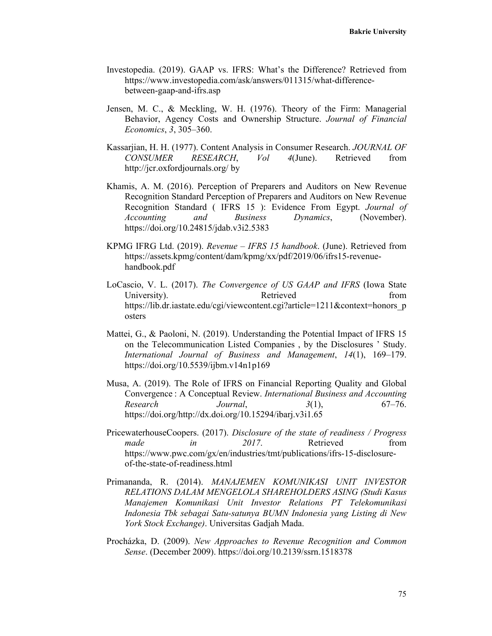- Investopedia. (2019). GAAP vs. IFRS: What's the Difference? Retrieved from https://www.investopedia.com/ask/answers/011315/what-differencebetween-gaap-and-ifrs.asp
- Jensen, M. C., & Meckling, W. H. (1976). Theory of the Firm: Managerial Behavior, Agency Costs and Ownership Structure. *Journal of Financial Economics*, *3*, 305–360.
- Kassarjian, H. H. (1977). Content Analysis in Consumer Research. *JOURNAL OF CONSUMER RESEARCH*, *Vol 4*(June). Retrieved from http://jcr.oxfordjournals.org/ by
- Khamis, A. M. (2016). Perception of Preparers and Auditors on New Revenue Recognition Standard Perception of Preparers and Auditors on New Revenue Recognition Standard ( IFRS 15 ): Evidence From Egypt. *Journal of Accounting and Business Dynamics*, (November). https://doi.org/10.24815/jdab.v3i2.5383
- KPMG IFRG Ltd. (2019). *Revenue IFRS 15 handbook*. (June). Retrieved from https://assets.kpmg/content/dam/kpmg/xx/pdf/2019/06/ifrs15-revenuehandbook.pdf
- LoCascio, V. L. (2017). *The Convergence of US GAAP and IFRS* (Iowa State University). Retrieved from Retrieved from https://lib.dr.iastate.edu/cgi/viewcontent.cgi?article=1211&context=honors\_p\_ osters
- Mattei, G., & Paoloni, N. (2019). Understanding the Potential Impact of IFRS 15 on the Telecommunication Listed Companies , by the Disclosures ' Study. *International Journal of Business and Management*, *14*(1), 169–179. https://doi.org/10.5539/ijbm.v14n1p169
- Musa, A. (2019). The Role of IFRS on Financial Reporting Quality and Global Convergence : A Conceptual Review. *International Business and Accounting Research Journal*, *3*(1), 67–76. https://doi.org/http://dx.doi.org/10.15294/ibarj.v3i1.65
- PricewaterhouseCoopers. (2017). *Disclosure of the state of readiness / Progress made in* 2017. Retrieved from https://www.pwc.com/gx/en/industries/tmt/publications/ifrs-15-disclosureof-the-state-of-readiness.html
- Primananda, R. (2014). *MANAJEMEN KOMUNIKASI UNIT INVESTOR RELATIONS DALAM MENGELOLA SHAREHOLDERS ASING (Studi Kasus Manajemen Komunikasi Unit Investor Relations PT Telekomunikasi Indonesia Tbk sebagai Satu-satunya BUMN Indonesia yang Listing di New York Stock Exchange)*. Universitas Gadjah Mada.
- Procházka, D. (2009). *New Approaches to Revenue Recognition and Common Sense*. (December 2009). https://doi.org/10.2139/ssrn.1518378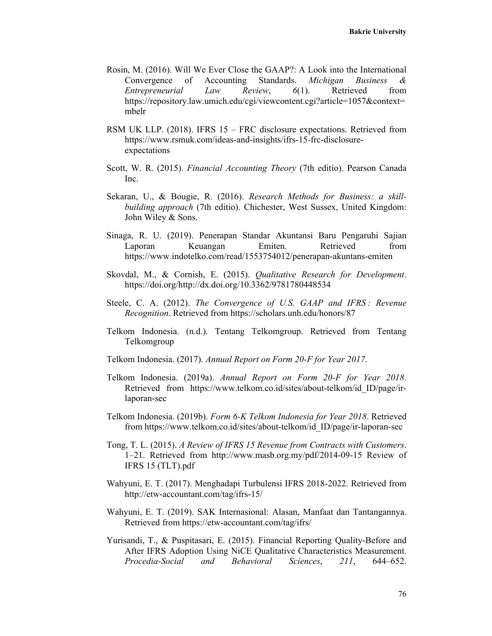- Rosin, M. (2016). Will We Ever Close the GAAP?: A Look into the International Convergence of Accounting Standards. *Michigan Business & Entrepreneurial Law Review*, *6*(1). Retrieved from https://repository.law.umich.edu/cgi/viewcontent.cgi?article=1057&context= mbelr
- RSM UK LLP. (2018). IFRS 15 FRC disclosure expectations. Retrieved from https://www.rsmuk.com/ideas-and-insights/ifrs-15-frc-disclosureexpectations
- Scott, W. R. (2015). *Financial Accounting Theory* (7th editio). Pearson Canada Inc.
- Sekaran, U., & Bougie, R. (2016). *Research Methods for Business: a skillbuilding approach* (7th editio). Chichester, West Sussex, United Kingdom: John Wiley & Sons.
- Sinaga, R. U. (2019). Penerapan Standar Akuntansi Baru Pengaruhi Sajian Laporan Keuangan Emiten. Retrieved from https://www.indotelko.com/read/1553754012/penerapan-akuntans-emiten
- Skovdal, M., & Cornish, E. (2015). *Qualitative Research for Development*. https://doi.org/http://dx.doi.org/10.3362/9781780448534
- Steele, C. A. (2012). *The Convergence of U.S. GAAP and IFRS : Revenue Recognition*. Retrieved from https://scholars.unh.edu/honors/87
- Telkom Indonesia. (n.d.). Tentang Telkomgroup. Retrieved from Tentang Telkomgroup
- Telkom Indonesia. (2017). *Annual Report on Form 20-F for Year 2017*.
- Telkom Indonesia. (2019a). *Annual Report on Form 20-F for Year 2018*. Retrieved from https://www.telkom.co.id/sites/about-telkom/id\_ID/page/irlaporan-sec
- Telkom Indonesia. (2019b). *Form 6-K Telkom Indonesia for Year 2018*. Retrieved from https://www.telkom.co.id/sites/about-telkom/id\_ID/page/ir-laporan-sec
- Tong, T. L. (2015). *A Review of IFRS 15 Revenue from Contracts with Customers*. 1–21. Retrieved from http://www.masb.org.my/pdf/2014-09-15 Review of IFRS 15 (TLT).pdf
- Wahyuni, E. T. (2017). Menghadapi Turbulensi IFRS 2018-2022. Retrieved from http://etw-accountant.com/tag/ifrs-15/
- Wahyuni, E. T. (2019). SAK Internasional: Alasan, Manfaat dan Tantangannya. Retrieved from https://etw-accountant.com/tag/ifrs/
- Yurisandi, T., & Puspitasari, E. (2015). Financial Reporting Quality-Before and After IFRS Adoption Using NiCE Qualitative Characteristics Measurement. *Procedia-Social and Behavioral Sciences*, *211*, 644–652.